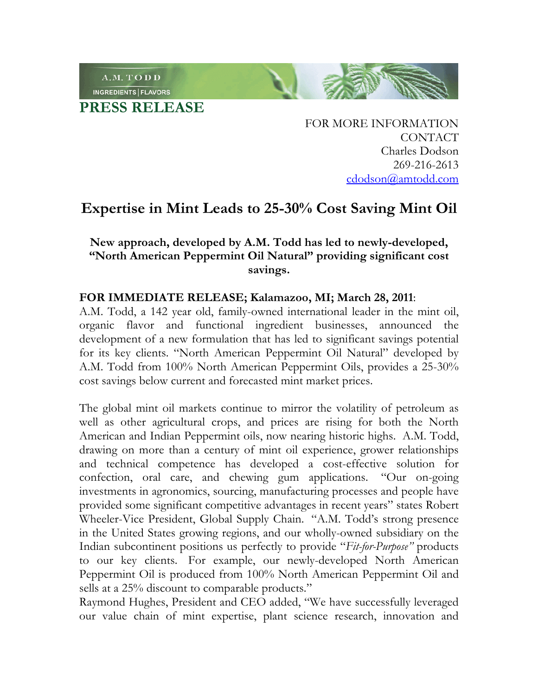INGREDIENTS | FLAVORS **PRESS RELEASE**

A.M. TODD

FOR MORE INFORMATION CONTACT Charles Dodson 269-216-2613 cdodson@amtodd.com

## **Expertise in Mint Leads to 25-30% Cost Saving Mint Oil**

## **New approach, developed by A.M. Todd has led to newly-developed, "North American Peppermint Oil Natural" providing significant cost savings.**

## **FOR IMMEDIATE RELEASE; Kalamazoo, MI; March 28, 2011**:

A.M. Todd, a 142 year old, family-owned international leader in the mint oil, organic flavor and functional ingredient businesses, announced the development of a new formulation that has led to significant savings potential for its key clients. "North American Peppermint Oil Natural" developed by A.M. Todd from 100% North American Peppermint Oils, provides a 25-30% cost savings below current and forecasted mint market prices.

The global mint oil markets continue to mirror the volatility of petroleum as well as other agricultural crops, and prices are rising for both the North American and Indian Peppermint oils, now nearing historic highs. A.M. Todd, drawing on more than a century of mint oil experience, grower relationships and technical competence has developed a cost-effective solution for confection, oral care, and chewing gum applications. "Our on-going investments in agronomics, sourcing, manufacturing processes and people have provided some significant competitive advantages in recent years" states Robert Wheeler-Vice President, Global Supply Chain. "A.M. Todd's strong presence in the United States growing regions, and our wholly-owned subsidiary on the Indian subcontinent positions us perfectly to provide "*Fit-for-Purpose"* products to our key clients. For example, our newly-developed North American Peppermint Oil is produced from 100% North American Peppermint Oil and sells at a 25% discount to comparable products."

Raymond Hughes, President and CEO added, "We have successfully leveraged our value chain of mint expertise, plant science research, innovation and